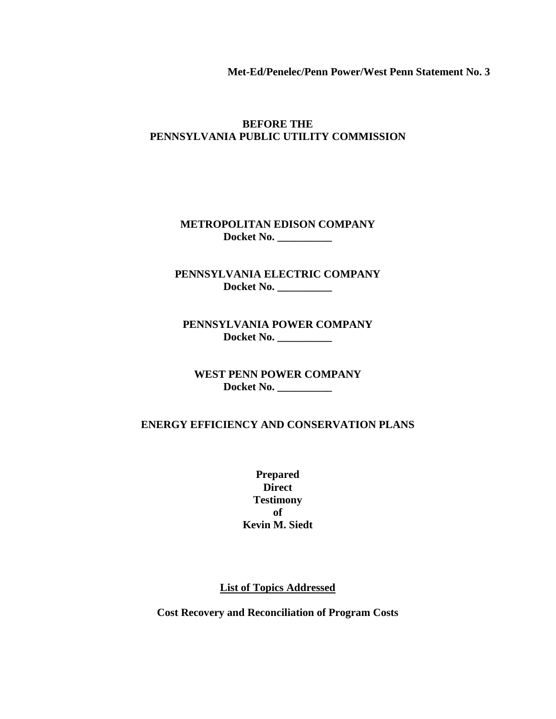**Met-Ed/Penelec/Penn Power/West Penn Statement No. 3**

### **BEFORE THE PENNSYLVANIA PUBLIC UTILITY COMMISSION**

**METROPOLITAN EDISON COMPANY Docket No. \_\_\_\_\_\_\_\_\_\_**

**PENNSYLVANIA ELECTRIC COMPANY Docket No. \_\_\_\_\_\_\_\_\_\_**

**PENNSYLVANIA POWER COMPANY Docket No. \_\_\_\_\_\_\_\_\_\_**

**WEST PENN POWER COMPANY Docket No. \_\_\_\_\_\_\_\_\_\_**

### **ENERGY EFFICIENCY AND CONSERVATION PLANS**

**Prepared Direct Testimony of Kevin M. Siedt**

**List of Topics Addressed**

**Cost Recovery and Reconciliation of Program Costs**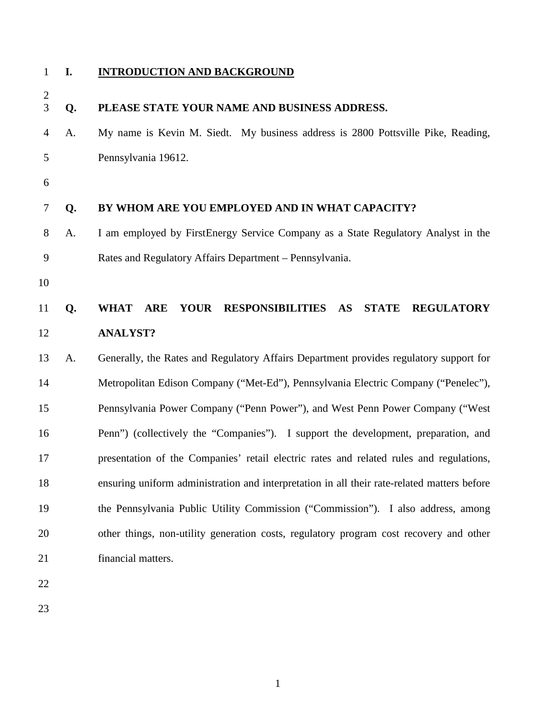### **I. INTRODUCTION AND BACKGROUND**

| $\overline{c}$<br>3 | Q. | PLEASE STATE YOUR NAME AND BUSINESS ADDRESS.                                                  |  |
|---------------------|----|-----------------------------------------------------------------------------------------------|--|
| $\overline{4}$      | A. | My name is Kevin M. Siedt. My business address is 2800 Pottsville Pike, Reading,              |  |
| 5                   |    | Pennsylvania 19612.                                                                           |  |
| 6                   |    |                                                                                               |  |
| 7                   | Q. | BY WHOM ARE YOU EMPLOYED AND IN WHAT CAPACITY?                                                |  |
| 8                   | A. | I am employed by FirstEnergy Service Company as a State Regulatory Analyst in the             |  |
| 9                   |    | Rates and Regulatory Affairs Department - Pennsylvania.                                       |  |
| 10                  |    |                                                                                               |  |
| 11                  | Q. | <b>YOUR</b><br>RESPONSIBILITIES AS<br><b>STATE</b><br><b>REGULATORY</b><br><b>WHAT</b><br>ARE |  |
| 12                  |    | <b>ANALYST?</b>                                                                               |  |
| 13                  | A. | Generally, the Rates and Regulatory Affairs Department provides regulatory support for        |  |
| 14                  |    | Metropolitan Edison Company ("Met-Ed"), Pennsylvania Electric Company ("Penelec"),            |  |
| 15                  |    | Pennsylvania Power Company ("Penn Power"), and West Penn Power Company ("West                 |  |
| 16                  |    | Penn") (collectively the "Companies"). I support the development, preparation, and            |  |
| 17                  |    | presentation of the Companies' retail electric rates and related rules and regulations,       |  |
| 18                  |    | ensuring uniform administration and interpretation in all their rate-related matters before   |  |
| 19                  |    | the Pennsylvania Public Utility Commission ("Commission"). I also address, among              |  |
| 20                  |    | other things, non-utility generation costs, regulatory program cost recovery and other        |  |
| 21                  |    | financial matters.                                                                            |  |
| 22                  |    |                                                                                               |  |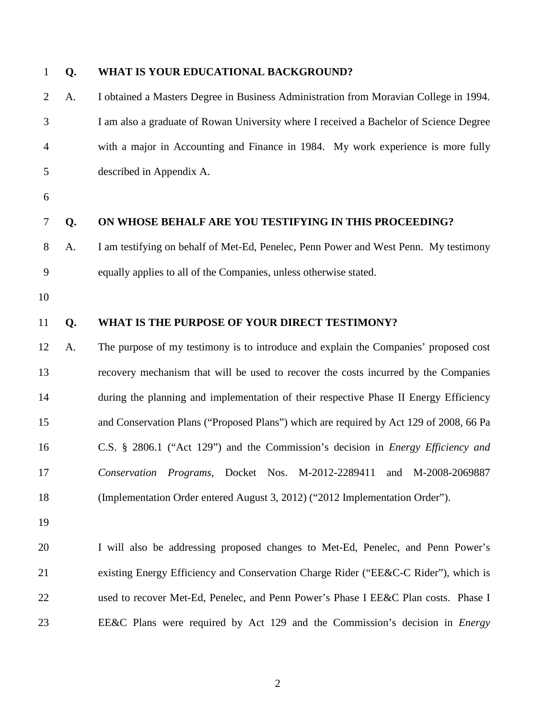| $\mathbf{1}$   | Q. | WHAT IS YOUR EDUCATIONAL BACKGROUND?                                                    |
|----------------|----|-----------------------------------------------------------------------------------------|
| $\overline{2}$ | A. | I obtained a Masters Degree in Business Administration from Moravian College in 1994.   |
| 3              |    | I am also a graduate of Rowan University where I received a Bachelor of Science Degree  |
| 4              |    | with a major in Accounting and Finance in 1984. My work experience is more fully        |
| 5              |    | described in Appendix A.                                                                |
| 6              |    |                                                                                         |
| $\tau$         | Q. | ON WHOSE BEHALF ARE YOU TESTIFYING IN THIS PROCEEDING?                                  |
| 8              | A. | I am testifying on behalf of Met-Ed, Penelec, Penn Power and West Penn. My testimony    |
| 9              |    | equally applies to all of the Companies, unless otherwise stated.                       |
| 10             |    |                                                                                         |
| 11             | Q. | WHAT IS THE PURPOSE OF YOUR DIRECT TESTIMONY?                                           |
| 12             | A. | The purpose of my testimony is to introduce and explain the Companies' proposed cost    |
| 13             |    | recovery mechanism that will be used to recover the costs incurred by the Companies     |
| 14             |    | during the planning and implementation of their respective Phase II Energy Efficiency   |
| 15             |    | and Conservation Plans ("Proposed Plans") which are required by Act 129 of 2008, 66 Pa  |
| 16             |    | C.S. § 2806.1 ("Act 129") and the Commission's decision in <i>Energy Efficiency and</i> |
| 17             |    | Conservation Programs, Docket Nos. M-2012-2289411 and M-2008-2069887                    |
| 18             |    | (Implementation Order entered August 3, 2012) ("2012 Implementation Order").            |
| 19             |    |                                                                                         |
| 20             |    | I will also be addressing proposed changes to Met-Ed, Penelec, and Penn Power's         |
| 21             |    | existing Energy Efficiency and Conservation Charge Rider ("EE&C-C Rider"), which is     |
| 22             |    | used to recover Met-Ed, Penelec, and Penn Power's Phase I EE&C Plan costs. Phase I      |
| 23             |    | EE&C Plans were required by Act 129 and the Commission's decision in <i>Energy</i>      |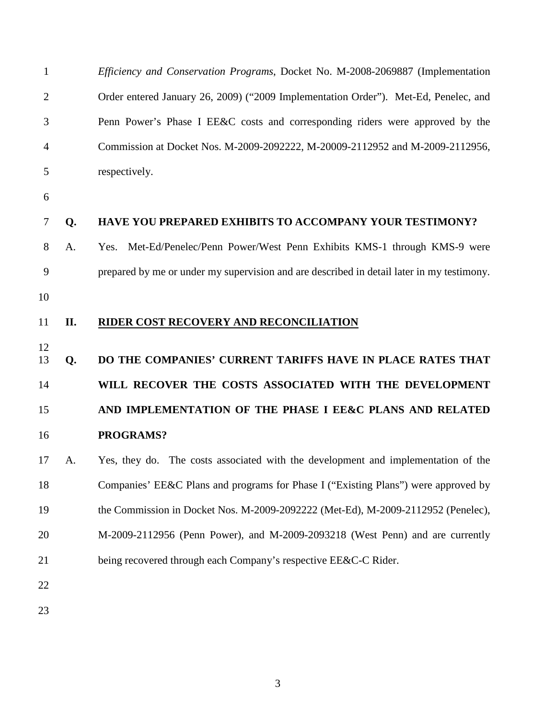| $\mathbf{1}$   |     | Efficiency and Conservation Programs, Docket No. M-2008-2069887 (Implementation           |
|----------------|-----|-------------------------------------------------------------------------------------------|
| $\overline{2}$ |     | Order entered January 26, 2009) ("2009 Implementation Order"). Met-Ed, Penelec, and       |
| 3              |     | Penn Power's Phase I EE&C costs and corresponding riders were approved by the             |
| 4              |     | Commission at Docket Nos. M-2009-2092222, M-20009-2112952 and M-2009-2112956,             |
| 5              |     | respectively.                                                                             |
| 6              |     |                                                                                           |
| 7              | Q.  | <b>HAVE YOU PREPARED EXHIBITS TO ACCOMPANY YOUR TESTIMONY?</b>                            |
| 8              | A.  | Met-Ed/Penelec/Penn Power/West Penn Exhibits KMS-1 through KMS-9 were<br>Yes.             |
| 9              |     | prepared by me or under my supervision and are described in detail later in my testimony. |
| 10             |     |                                                                                           |
| 11             | II. | RIDER COST RECOVERY AND RECONCILIATION                                                    |
|                |     |                                                                                           |
| 12<br>13       | Q.  | DO THE COMPANIES' CURRENT TARIFFS HAVE IN PLACE RATES THAT                                |
| 14             |     | WILL RECOVER THE COSTS ASSOCIATED WITH THE DEVELOPMENT                                    |
| 15             |     | AND IMPLEMENTATION OF THE PHASE I EE&C PLANS AND RELATED                                  |
| 16             |     | PROGRAMS?                                                                                 |
| 17             | A.  | Yes, they do. The costs associated with the development and implementation of the         |
| 18             |     | Companies' EE&C Plans and programs for Phase I ("Existing Plans") were approved by        |
| 19             |     | the Commission in Docket Nos. M-2009-2092222 (Met-Ed), M-2009-2112952 (Penelec),          |
| 20             |     | M-2009-2112956 (Penn Power), and M-2009-2093218 (West Penn) and are currently             |
| 21             |     | being recovered through each Company's respective EE&C-C Rider.                           |
| 22             |     |                                                                                           |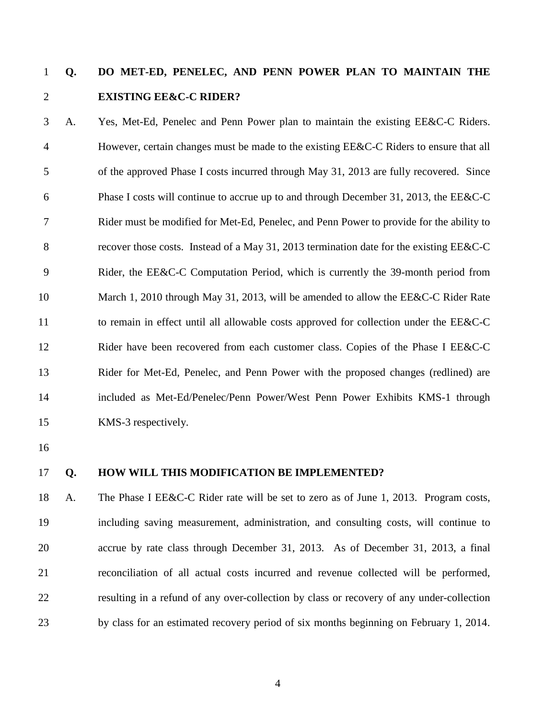# **Q. DO MET-ED, PENELEC, AND PENN POWER PLAN TO MAINTAIN THE EXISTING EE&C-C RIDER?**

 A. Yes, Met-Ed, Penelec and Penn Power plan to maintain the existing EE&C-C Riders. However, certain changes must be made to the existing EE&C-C Riders to ensure that all of the approved Phase I costs incurred through May 31, 2013 are fully recovered. Since Phase I costs will continue to accrue up to and through December 31, 2013, the EE&C-C Rider must be modified for Met-Ed, Penelec, and Penn Power to provide for the ability to recover those costs. Instead of a May 31, 2013 termination date for the existing EE&C-C Rider, the EE&C-C Computation Period, which is currently the 39-month period from 10 March 1, 2010 through May 31, 2013, will be amended to allow the EE&C-C Rider Rate 11 to remain in effect until all allowable costs approved for collection under the EE&C-C Rider have been recovered from each customer class. Copies of the Phase I EE&C-C Rider for Met-Ed, Penelec, and Penn Power with the proposed changes (redlined) are included as Met-Ed/Penelec/Penn Power/West Penn Power Exhibits KMS-1 through KMS-3 respectively.

- 
- 

#### **Q. HOW WILL THIS MODIFICATION BE IMPLEMENTED?**

 A. The Phase I EE&C-C Rider rate will be set to zero as of June 1, 2013. Program costs, including saving measurement, administration, and consulting costs, will continue to accrue by rate class through December 31, 2013. As of December 31, 2013, a final reconciliation of all actual costs incurred and revenue collected will be performed, resulting in a refund of any over-collection by class or recovery of any under-collection by class for an estimated recovery period of six months beginning on February 1, 2014.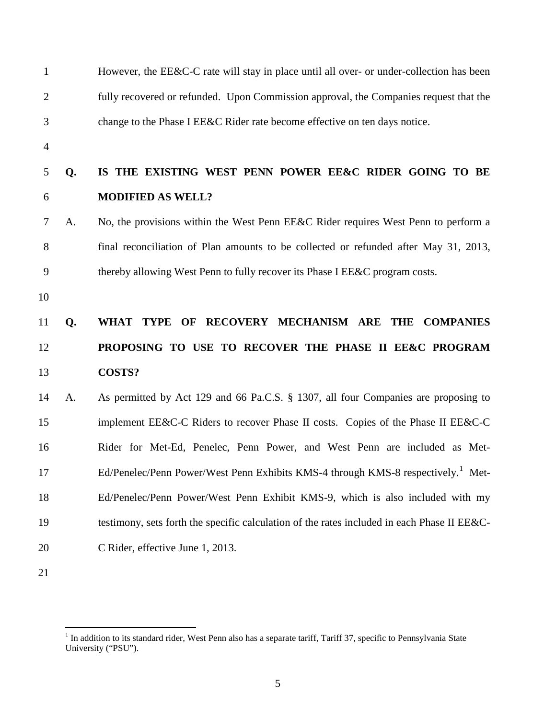| $\mathbf{1}$   |    | However, the EE&C-C rate will stay in place until all over- or under-collection has been     |
|----------------|----|----------------------------------------------------------------------------------------------|
| $\overline{2}$ |    | fully recovered or refunded. Upon Commission approval, the Companies request that the        |
| 3              |    | change to the Phase I EE&C Rider rate become effective on ten days notice.                   |
| $\overline{4}$ |    |                                                                                              |
| 5              | Q. | IS THE EXISTING WEST PENN POWER EE&C RIDER GOING TO BE                                       |
| 6              |    | <b>MODIFIED AS WELL?</b>                                                                     |
| 7              | A. | No, the provisions within the West Penn EE&C Rider requires West Penn to perform a           |
| 8              |    | final reconciliation of Plan amounts to be collected or refunded after May 31, 2013,         |
| 9              |    | thereby allowing West Penn to fully recover its Phase I EE&C program costs.                  |
| 10             |    |                                                                                              |
| 11             | Q. | WHAT TYPE OF<br>RECOVERY MECHANISM ARE THE COMPANIES                                         |
| 12             |    | PROPOSING TO USE TO RECOVER THE PHASE II EE&C PROGRAM                                        |
| 13             |    | <b>COSTS?</b>                                                                                |
| 14             | A. | As permitted by Act 129 and 66 Pa.C.S. § 1307, all four Companies are proposing to           |
| 15             |    | implement EE&C-C Riders to recover Phase II costs. Copies of the Phase II EE&C-C             |
| 16             |    | Rider for Met-Ed, Penelec, Penn Power, and West Penn are included as Met-                    |
| 17             |    | Ed/Penelec/Penn Power/West Penn Exhibits KMS-4 through KMS-8 respectively. <sup>1</sup> Met- |
| 18             |    | Ed/Penelec/Penn Power/West Penn Exhibit KMS-9, which is also included with my                |
| 19             |    | testimony, sets forth the specific calculation of the rates included in each Phase II EE&C-  |
| 20             |    | C Rider, effective June 1, 2013.                                                             |
| 21             |    |                                                                                              |

<span id="page-5-0"></span><sup>&</sup>lt;sup>1</sup> In addition to its standard rider, West Penn also has a separate tariff, Tariff 37, specific to Pennsylvania State University ("PSU").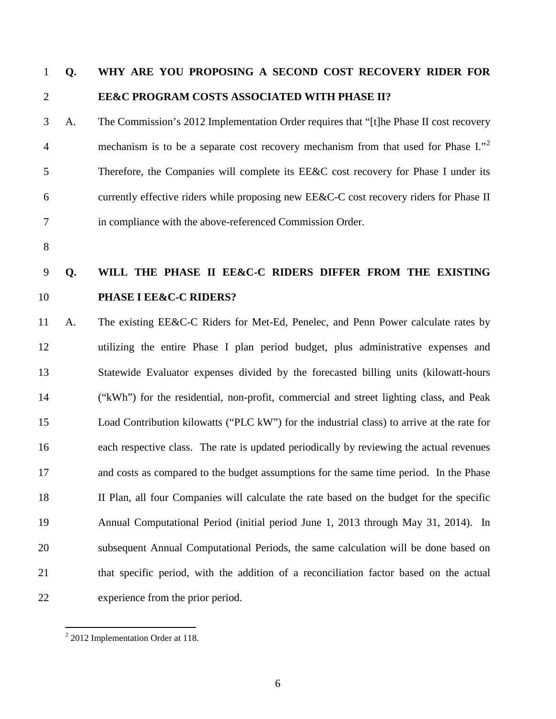# **Q. WHY ARE YOU PROPOSING A SECOND COST RECOVERY RIDER FOR EE&C PROGRAM COSTS ASSOCIATED WITH PHASE II?**

 A. The Commission's 2012 Implementation Order requires that "[t]he Phase II cost recovery 4 mechanism is to be a separate cost recovery mechanism from that used for Phase I.<sup>7[2](#page-6-0)</sup> Therefore, the Companies will complete its EE&C cost recovery for Phase I under its currently effective riders while proposing new EE&C-C cost recovery riders for Phase II in compliance with the above-referenced Commission Order.

# **Q. WILL THE PHASE II EE&C-C RIDERS DIFFER FROM THE EXISTING PHASE I EE&C-C RIDERS?**

 A. The existing EE&C-C Riders for Met-Ed, Penelec, and Penn Power calculate rates by utilizing the entire Phase I plan period budget, plus administrative expenses and Statewide Evaluator expenses divided by the forecasted billing units (kilowatt-hours ("kWh") for the residential, non-profit, commercial and street lighting class, and Peak Load Contribution kilowatts ("PLC kW") for the industrial class) to arrive at the rate for each respective class. The rate is updated periodically by reviewing the actual revenues and costs as compared to the budget assumptions for the same time period. In the Phase II Plan, all four Companies will calculate the rate based on the budget for the specific Annual Computational Period (initial period June 1, 2013 through May 31, 2014). In subsequent Annual Computational Periods, the same calculation will be done based on that specific period, with the addition of a reconciliation factor based on the actual experience from the prior period.

<span id="page-6-0"></span>2012 Implementation Order at 118.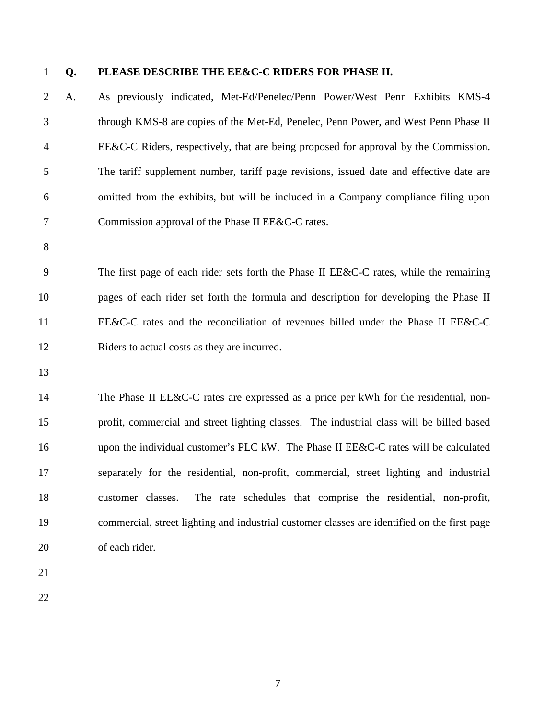### **Q. PLEASE DESCRIBE THE EE&C-C RIDERS FOR PHASE II.**

 A. As previously indicated, Met-Ed/Penelec/Penn Power/West Penn Exhibits KMS-4 through KMS-8 are copies of the Met-Ed, Penelec, Penn Power, and West Penn Phase II EE&C-C Riders, respectively, that are being proposed for approval by the Commission. The tariff supplement number, tariff page revisions, issued date and effective date are omitted from the exhibits, but will be included in a Company compliance filing upon Commission approval of the Phase II EE&C-C rates.

 The first page of each rider sets forth the Phase II EE&C-C rates, while the remaining pages of each rider set forth the formula and description for developing the Phase II EE&C-C rates and the reconciliation of revenues billed under the Phase II EE&C-C Riders to actual costs as they are incurred.

 The Phase II EE&C-C rates are expressed as a price per kWh for the residential, non- profit, commercial and street lighting classes. The industrial class will be billed based upon the individual customer's PLC kW. The Phase II EE&C-C rates will be calculated separately for the residential, non-profit, commercial, street lighting and industrial customer classes. The rate schedules that comprise the residential, non-profit, commercial, street lighting and industrial customer classes are identified on the first page of each rider.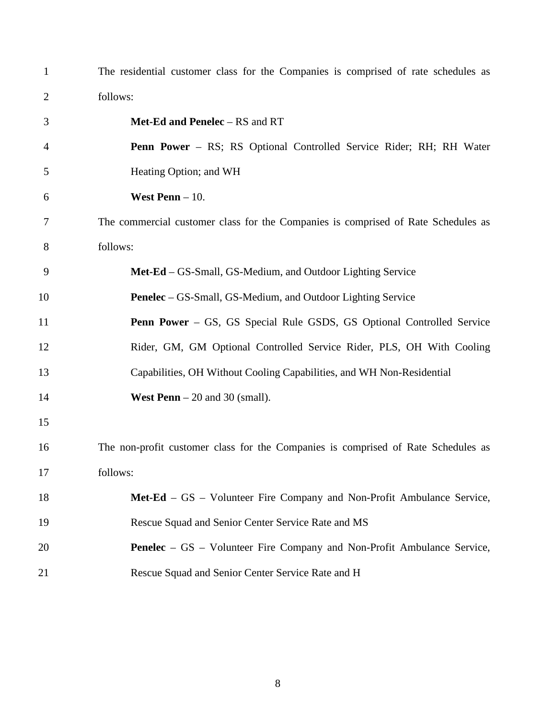| $\mathbf{1}$   | The residential customer class for the Companies is comprised of rate schedules as |
|----------------|------------------------------------------------------------------------------------|
| $\overline{2}$ | follows:                                                                           |
| 3              | Met-Ed and Penelec - RS and RT                                                     |
| 4              | Penn Power - RS; RS Optional Controlled Service Rider; RH; RH Water                |
| 5              | Heating Option; and WH                                                             |
| 6              | West Penn $-10$ .                                                                  |
| 7              | The commercial customer class for the Companies is comprised of Rate Schedules as  |
| 8              | follows:                                                                           |
| 9              | Met-Ed – GS-Small, GS-Medium, and Outdoor Lighting Service                         |
| 10             | Penelec – GS-Small, GS-Medium, and Outdoor Lighting Service                        |
| 11             | <b>Penn Power</b> – GS, GS Special Rule GSDS, GS Optional Controlled Service       |
| 12             | Rider, GM, GM Optional Controlled Service Rider, PLS, OH With Cooling              |
| 13             | Capabilities, OH Without Cooling Capabilities, and WH Non-Residential              |
| 14             | <b>West Penn</b> $-20$ and 30 (small).                                             |
| 15             |                                                                                    |
| 16             | The non-profit customer class for the Companies is comprised of Rate Schedules as  |
| 17             | follows:                                                                           |
| 18             | Met-Ed – GS – Volunteer Fire Company and Non-Profit Ambulance Service,             |
| 19             | Rescue Squad and Senior Center Service Rate and MS                                 |
| 20             | <b>Penelec</b> – GS – Volunteer Fire Company and Non-Profit Ambulance Service,     |
| 21             | Rescue Squad and Senior Center Service Rate and H                                  |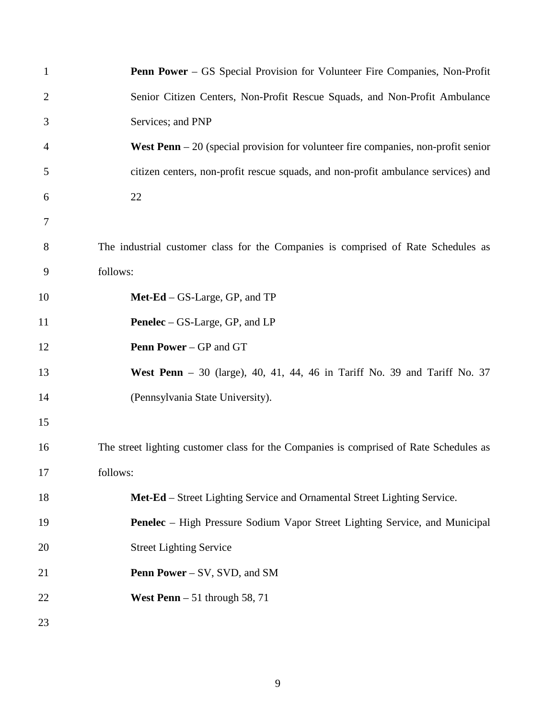| $\mathbf{1}$   | <b>Penn Power</b> – GS Special Provision for Volunteer Fire Companies, Non-Profit         |
|----------------|-------------------------------------------------------------------------------------------|
| $\overline{2}$ | Senior Citizen Centers, Non-Profit Rescue Squads, and Non-Profit Ambulance                |
| 3              | Services; and PNP                                                                         |
| $\overline{4}$ | <b>West Penn</b> $-20$ (special provision for volunteer fire companies, non-profit senior |
| 5              | citizen centers, non-profit rescue squads, and non-profit ambulance services) and         |
| 6              | 22                                                                                        |
| 7              |                                                                                           |
| 8              | The industrial customer class for the Companies is comprised of Rate Schedules as         |
| 9              | follows:                                                                                  |
| 10             | $Met-Ed - GS-Large, GP, and TP$                                                           |
| 11             | <b>Penelec</b> – GS-Large, GP, and LP                                                     |
| 12             | <b>Penn Power</b> – GP and GT                                                             |
| 13             | West Penn $-30$ (large), 40, 41, 44, 46 in Tariff No. 39 and Tariff No. 37                |
| 14             | (Pennsylvania State University).                                                          |
| 15             |                                                                                           |
| 16             | The street lighting customer class for the Companies is comprised of Rate Schedules as    |
| 17             | follows:                                                                                  |
| 18             | Met-Ed – Street Lighting Service and Ornamental Street Lighting Service.                  |
| 19             | <b>Penelec</b> – High Pressure Sodium Vapor Street Lighting Service, and Municipal        |
| 20             | <b>Street Lighting Service</b>                                                            |
| 21             | <b>Penn Power</b> – SV, SVD, and SM                                                       |
| 22             | West Penn $-51$ through 58, 71                                                            |
| 23             |                                                                                           |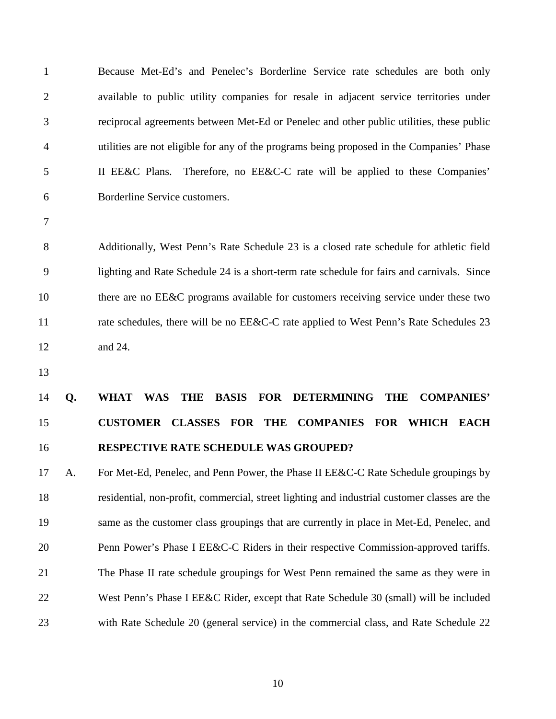| $\mathbf{1}$   | Because Met-Ed's and Penelec's Borderline Service rate schedules are both only               |  |
|----------------|----------------------------------------------------------------------------------------------|--|
| $\overline{2}$ | available to public utility companies for resale in adjacent service territories under       |  |
| 3              | reciprocal agreements between Met-Ed or Penelec and other public utilities, these public     |  |
| $\overline{4}$ | utilities are not eligible for any of the programs being proposed in the Companies' Phase    |  |
| 5              | II EE&C Plans. Therefore, no EE&C-C rate will be applied to these Companies'                 |  |
| 6              | Borderline Service customers.                                                                |  |
| $\tau$         |                                                                                              |  |
| 8              | Additionally, West Penn's Rate Schedule 23 is a closed rate schedule for athletic field      |  |
| 9              | lighting and Rate Schedule 24 is a short-term rate schedule for fairs and carnivals. Since   |  |
| 10             | there are no EE&C programs available for customers receiving service under these two         |  |
| 11             | rate schedules, there will be no EE&C-C rate applied to West Penn's Rate Schedules 23        |  |
| 12             | and 24.                                                                                      |  |
| 13             |                                                                                              |  |
| 14<br>Q.       | THE BASIS FOR DETERMINING THE<br><b>COMPANIES'</b><br><b>WHAT</b><br>WAS                     |  |
| 15             | CUSTOMER CLASSES FOR THE COMPANIES FOR WHICH EACH                                            |  |
| 16             | RESPECTIVE RATE SCHEDULE WAS GROUPED?                                                        |  |
| 17<br>A.       | For Met-Ed, Penelec, and Penn Power, the Phase II EE&C-C Rate Schedule groupings by          |  |
| 18             | residential, non-profit, commercial, street lighting and industrial customer classes are the |  |
| 19             | same as the customer class groupings that are currently in place in Met-Ed, Penelec, and     |  |
| 20             | Penn Power's Phase I EE&C-C Riders in their respective Commission-approved tariffs.          |  |
| 21             | The Phase II rate schedule groupings for West Penn remained the same as they were in         |  |
| 22             | West Penn's Phase I EE&C Rider, except that Rate Schedule 30 (small) will be included        |  |
| 23             | with Rate Schedule 20 (general service) in the commercial class, and Rate Schedule 22        |  |
|                |                                                                                              |  |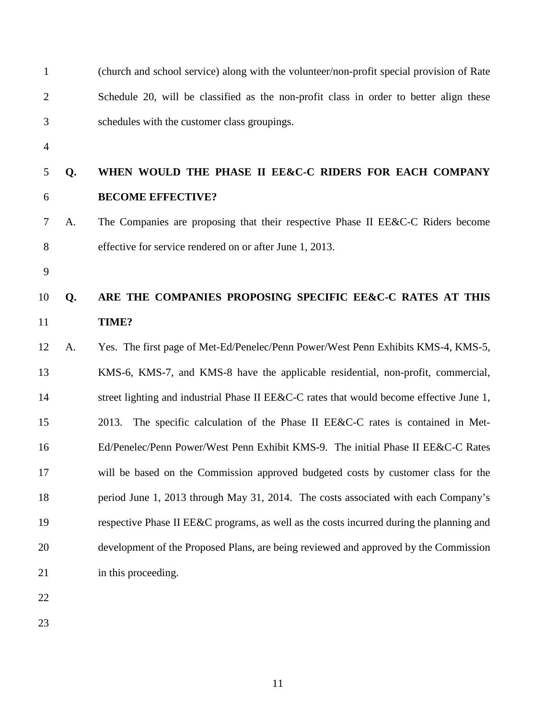| $\mathbf{1}$   |    | (church and school service) along with the volunteer/non-profit special provision of Rate |  |
|----------------|----|-------------------------------------------------------------------------------------------|--|
| $\overline{2}$ |    | Schedule 20, will be classified as the non-profit class in order to better align these    |  |
| 3              |    | schedules with the customer class groupings.                                              |  |
| $\overline{4}$ |    |                                                                                           |  |
| 5              | Q. | WHEN WOULD THE PHASE II EE&C-C RIDERS FOR EACH COMPANY                                    |  |
| 6              |    | <b>BECOME EFFECTIVE?</b>                                                                  |  |
| 7              | A. | The Companies are proposing that their respective Phase II EE&C-C Riders become           |  |
| 8              |    | effective for service rendered on or after June 1, 2013.                                  |  |
| 9              |    |                                                                                           |  |
| 10             | Q. | ARE THE COMPANIES PROPOSING SPECIFIC EE&C-C RATES AT THIS                                 |  |
| 11             |    | TIME?                                                                                     |  |
| 12             | A. | Yes. The first page of Met-Ed/Penelec/Penn Power/West Penn Exhibits KMS-4, KMS-5,         |  |
| 13             |    | KMS-6, KMS-7, and KMS-8 have the applicable residential, non-profit, commercial,          |  |
| 14             |    | street lighting and industrial Phase II EE&C-C rates that would become effective June 1,  |  |
| 15             |    | The specific calculation of the Phase II EE&C-C rates is contained in Met-<br>2013.       |  |
| 16             |    | Ed/Penelec/Penn Power/West Penn Exhibit KMS-9. The initial Phase II EE&C-C Rates          |  |
| 17             |    | will be based on the Commission approved budgeted costs by customer class for the         |  |
| 18             |    | period June 1, 2013 through May 31, 2014. The costs associated with each Company's        |  |
| 19             |    | respective Phase II EE&C programs, as well as the costs incurred during the planning and  |  |
| 20             |    | development of the Proposed Plans, are being reviewed and approved by the Commission      |  |
| 21             |    | in this proceeding.                                                                       |  |
| 22             |    |                                                                                           |  |
|                |    |                                                                                           |  |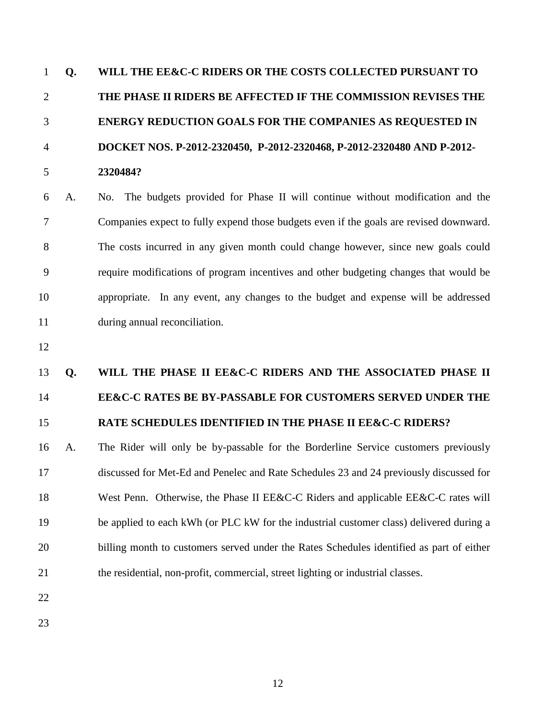| $\mathbf{1}$   | Q. | WILL THE EE&C-C RIDERS OR THE COSTS COLLECTED PURSUANT TO                                |  |  |
|----------------|----|------------------------------------------------------------------------------------------|--|--|
| $\overline{2}$ |    | THE PHASE II RIDERS BE AFFECTED IF THE COMMISSION REVISES THE                            |  |  |
| 3              |    | <b>ENERGY REDUCTION GOALS FOR THE COMPANIES AS REQUESTED IN</b>                          |  |  |
| $\overline{4}$ |    | DOCKET NOS. P-2012-2320450, P-2012-2320468, P-2012-2320480 AND P-2012-                   |  |  |
| 5              |    | 2320484?                                                                                 |  |  |
| 6              | A. | No. The budgets provided for Phase II will continue without modification and the         |  |  |
| 7              |    | Companies expect to fully expend those budgets even if the goals are revised downward.   |  |  |
| 8              |    | The costs incurred in any given month could change however, since new goals could        |  |  |
| 9              |    | require modifications of program incentives and other budgeting changes that would be    |  |  |
| 10             |    | appropriate. In any event, any changes to the budget and expense will be addressed       |  |  |
| 11             |    | during annual reconciliation.                                                            |  |  |
| 12             |    |                                                                                          |  |  |
| 13             | Q. | WILL THE PHASE II EE&C-C RIDERS AND THE ASSOCIATED PHASE II                              |  |  |
| 14             |    | EE&C-C RATES BE BY-PASSABLE FOR CUSTOMERS SERVED UNDER THE                               |  |  |
| 15             |    | RATE SCHEDULES IDENTIFIED IN THE PHASE II EE&C-C RIDERS?                                 |  |  |
| 16             | А. | The Rider will only be by-passable for the Borderline Service customers previously       |  |  |
| 17             |    | discussed for Met-Ed and Penelec and Rate Schedules 23 and 24 previously discussed for   |  |  |
| 18             |    | West Penn. Otherwise, the Phase II EE&C-C Riders and applicable EE&C-C rates will        |  |  |
| 19             |    | be applied to each kWh (or PLC kW for the industrial customer class) delivered during a  |  |  |
| 20             |    | billing month to customers served under the Rates Schedules identified as part of either |  |  |
| 21             |    | the residential, non-profit, commercial, street lighting or industrial classes.          |  |  |
| 22             |    |                                                                                          |  |  |
|                |    |                                                                                          |  |  |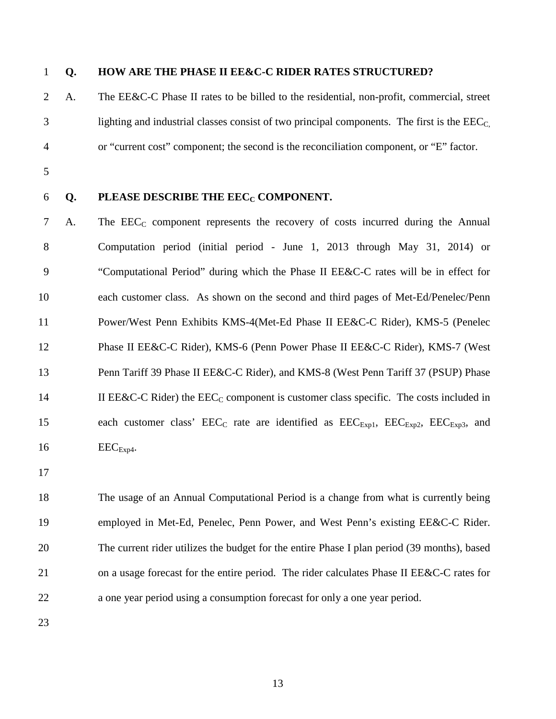### **Q. HOW ARE THE PHASE II EE&C-C RIDER RATES STRUCTURED?**

- A. The EE&C-C Phase II rates to be billed to the residential, non-profit, commercial, street  $\beta$  lighting and industrial classes consist of two principal components. The first is the  $\text{EEC}_{\text{C}}$ or "current cost" component; the second is the reconciliation component, or "E" factor.
- 
- 

#### 6 **Q. PLEASE DESCRIBE THE EEC<sub>C</sub> COMPONENT.**

7 A. The  $\text{EEC}_C$  component represents the recovery of costs incurred during the Annual Computation period (initial period - June 1, 2013 through May 31, 2014) or "Computational Period" during which the Phase II EE&C-C rates will be in effect for each customer class. As shown on the second and third pages of Met-Ed/Penelec/Penn Power/West Penn Exhibits KMS-4(Met-Ed Phase II EE&C-C Rider), KMS-5 (Penelec Phase II EE&C-C Rider), KMS-6 (Penn Power Phase II EE&C-C Rider), KMS-7 (West 13 Penn Tariff 39 Phase II EE&C-C Rider), and KMS-8 (West Penn Tariff 37 (PSUP) Phase 14 II EE&C-C Rider) the  $\text{EEC}_C$  component is customer class specific. The costs included in 15 each customer class'  $\text{EEC}_{\text{C}}$  rate are identified as  $\text{EEC}_{\text{Exp1}}$ ,  $\text{EEC}_{\text{Exp2}}$ ,  $\text{EEC}_{\text{Exp3}}$ , and EEC<sub>Exp4</sub>.

 The usage of an Annual Computational Period is a change from what is currently being employed in Met-Ed, Penelec, Penn Power, and West Penn's existing EE&C-C Rider. The current rider utilizes the budget for the entire Phase I plan period (39 months), based 21 on a usage forecast for the entire period. The rider calculates Phase II EE&C-C rates for a one year period using a consumption forecast for only a one year period.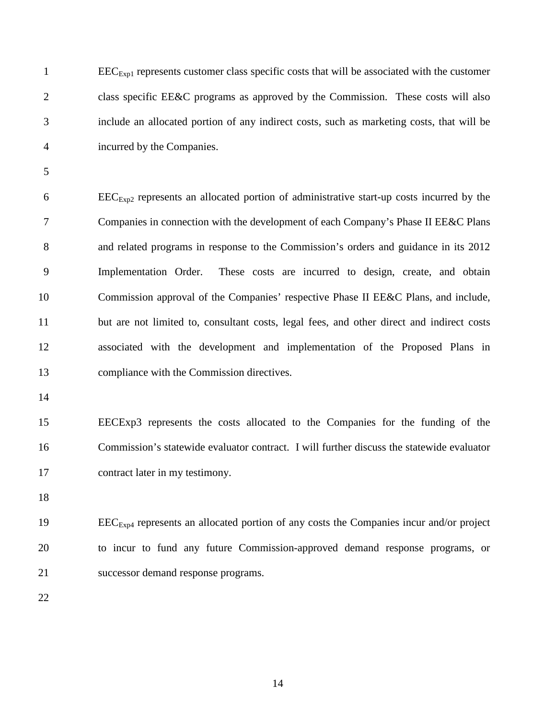EEC<sub>Exp1</sub> represents customer class specific costs that will be associated with the customer class specific EE&C programs as approved by the Commission. These costs will also include an allocated portion of any indirect costs, such as marketing costs, that will be incurred by the Companies.

 $6 \qquad \qquad \text{EEC}_{\text{Exn2}}$  represents an allocated portion of administrative start-up costs incurred by the Companies in connection with the development of each Company's Phase II EE&C Plans and related programs in response to the Commission's orders and guidance in its 2012 Implementation Order. These costs are incurred to design, create, and obtain Commission approval of the Companies' respective Phase II EE&C Plans, and include, but are not limited to, consultant costs, legal fees, and other direct and indirect costs associated with the development and implementation of the Proposed Plans in compliance with the Commission directives.

 EECExp3 represents the costs allocated to the Companies for the funding of the Commission's statewide evaluator contract. I will further discuss the statewide evaluator contract later in my testimony.

19 EEC<sub>Exp4</sub> represents an allocated portion of any costs the Companies incur and/or project to incur to fund any future Commission-approved demand response programs, or successor demand response programs.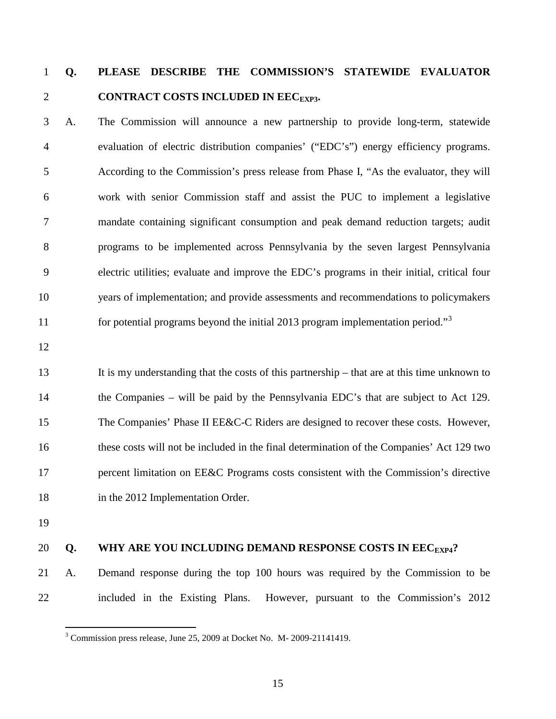# **Q. PLEASE DESCRIBE THE COMMISSION'S STATEWIDE EVALUATOR**  2 **CONTRACT COSTS INCLUDED IN EEC<sub>EXP3</sub>.**

 A. The Commission will announce a new partnership to provide long-term, statewide evaluation of electric distribution companies' ("EDC's") energy efficiency programs. According to the Commission's press release from Phase I, "As the evaluator, they will work with senior Commission staff and assist the PUC to implement a legislative mandate containing significant consumption and peak demand reduction targets; audit programs to be implemented across Pennsylvania by the seven largest Pennsylvania electric utilities; evaluate and improve the EDC's programs in their initial, critical four years of implementation; and provide assessments and recommendations to policymakers for potential programs beyond the initial 2013 program implementation period."[3](#page-15-0)

 It is my understanding that the costs of this partnership – that are at this time unknown to the Companies – will be paid by the Pennsylvania EDC's that are subject to Act 129. The Companies' Phase II EE&C-C Riders are designed to recover these costs. However, these costs will not be included in the final determination of the Companies' Act 129 two 17 percent limitation on EE&C Programs costs consistent with the Commission's directive 18 in the 2012 Implementation Order.

### 20 **Q.** WHY ARE YOU INCLUDING DEMAND RESPONSE COSTS IN EEC<sub>EXP4</sub>?

 A. Demand response during the top 100 hours was required by the Commission to be included in the Existing Plans. However, pursuant to the Commission's 2012

<span id="page-15-0"></span><sup>&</sup>lt;sup>3</sup> Commission press release, June 25, 2009 at Docket No. M- 2009-21141419.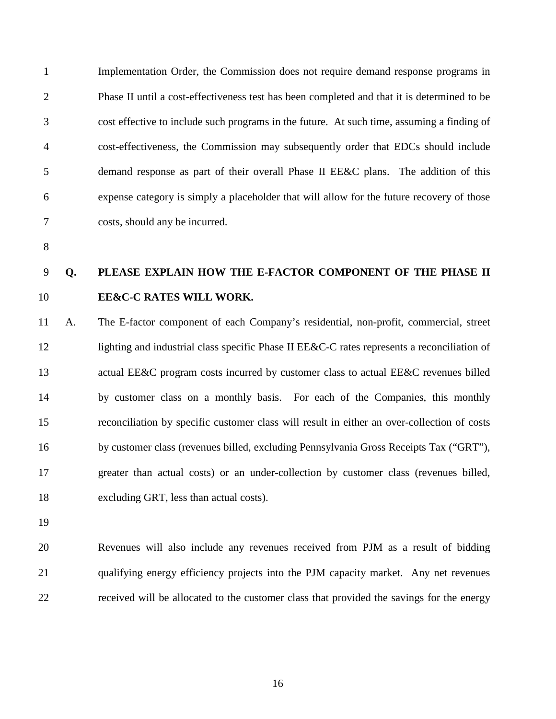Implementation Order, the Commission does not require demand response programs in Phase II until a cost-effectiveness test has been completed and that it is determined to be cost effective to include such programs in the future. At such time, assuming a finding of cost-effectiveness, the Commission may subsequently order that EDCs should include demand response as part of their overall Phase II EE&C plans. The addition of this expense category is simply a placeholder that will allow for the future recovery of those costs, should any be incurred.

# **Q. PLEASE EXPLAIN HOW THE E-FACTOR COMPONENT OF THE PHASE II EE&C-C RATES WILL WORK.**

 A. The E-factor component of each Company's residential, non-profit, commercial, street 12 lighting and industrial class specific Phase II EE&C-C rates represents a reconciliation of 13 actual EE&C program costs incurred by customer class to actual EE&C revenues billed by customer class on a monthly basis. For each of the Companies, this monthly reconciliation by specific customer class will result in either an over-collection of costs by customer class (revenues billed, excluding Pennsylvania Gross Receipts Tax ("GRT"), greater than actual costs) or an under-collection by customer class (revenues billed, excluding GRT, less than actual costs).

 Revenues will also include any revenues received from PJM as a result of bidding qualifying energy efficiency projects into the PJM capacity market. Any net revenues received will be allocated to the customer class that provided the savings for the energy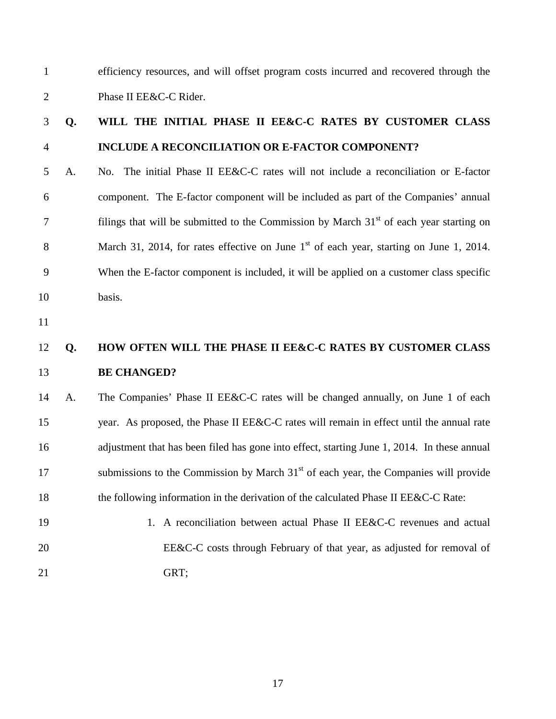efficiency resources, and will offset program costs incurred and recovered through the Phase II EE&C-C Rider.

# **Q. WILL THE INITIAL PHASE II EE&C-C RATES BY CUSTOMER CLASS INCLUDE A RECONCILIATION OR E-FACTOR COMPONENT?**

- A. No. The initial Phase II EE&C-C rates will not include a reconciliation or E-factor component. The E-factor component will be included as part of the Companies' annual 7 filings that will be submitted to the Commission by March  $31<sup>st</sup>$  of each year starting on March 31, 2014, for rates effective on June  $1<sup>st</sup>$  of each year, starting on June 1, 2014. When the E-factor component is included, it will be applied on a customer class specific basis.
- 

## **Q. HOW OFTEN WILL THE PHASE II EE&C-C RATES BY CUSTOMER CLASS BE CHANGED?**

 A. The Companies' Phase II EE&C-C rates will be changed annually, on June 1 of each 15 year. As proposed, the Phase II EE&C-C rates will remain in effect until the annual rate 16 adjustment that has been filed has gone into effect, starting June 1, 2014. In these annual submissions to the Commission by March  $31<sup>st</sup>$  of each year, the Companies will provide 18 the following information in the derivation of the calculated Phase II EE&C-C Rate:

19 1. A reconciliation between actual Phase II EE&C-C revenues and actual 20 EE&C-C costs through February of that year, as adjusted for removal of GRT;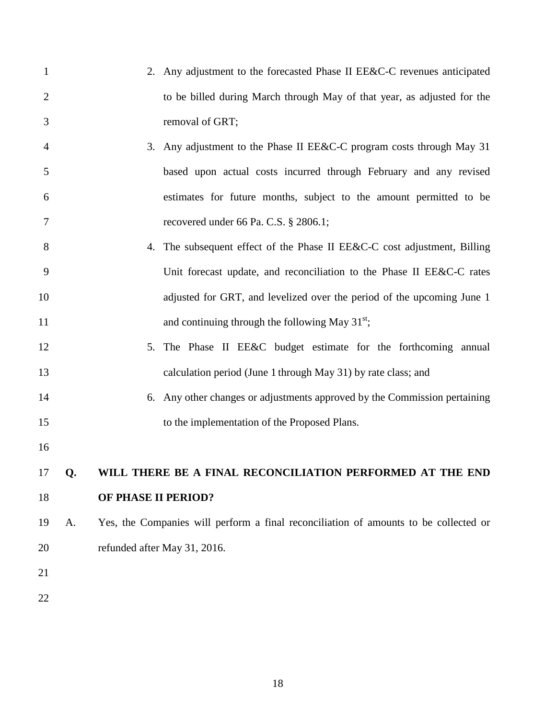- 2. Any adjustment to the forecasted Phase II EE&C-C revenues anticipated to be billed during March through May of that year, as adjusted for the removal of GRT;
- 3. Any adjustment to the Phase II EE&C-C program costs through May 31 based upon actual costs incurred through February and any revised estimates for future months, subject to the amount permitted to be recovered under 66 Pa. C.S. § 2806.1;
- 8 4. The subsequent effect of the Phase II EE&C-C cost adjustment, Billing Unit forecast update, and reconciliation to the Phase II EE&C-C rates adjusted for GRT, and levelized over the period of the upcoming June 1 11 and continuing through the following May  $31^{st}$ ;
- 12 5. The Phase II EE&C budget estimate for the forthcoming annual calculation period (June 1 through May 31) by rate class; and
- 6. Any other changes or adjustments approved by the Commission pertaining to the implementation of the Proposed Plans.
- 

# **Q. WILL THERE BE A FINAL RECONCILIATION PERFORMED AT THE END OF PHASE II PERIOD?**

- A. Yes, the Companies will perform a final reconciliation of amounts to be collected or 20 refunded after May 31, 2016.
- 
-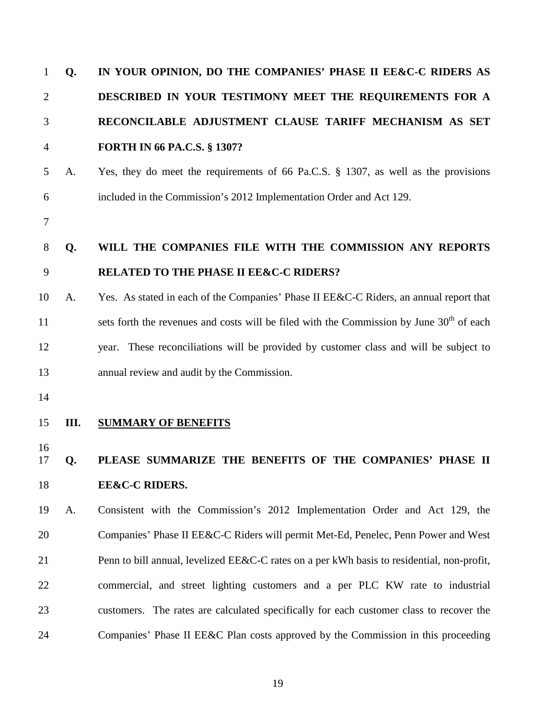| $\mathbf{1}$   | Q. | IN YOUR OPINION, DO THE COMPANIES' PHASE II EE&C-C RIDERS AS                                         |
|----------------|----|------------------------------------------------------------------------------------------------------|
| $\overline{2}$ |    | DESCRIBED IN YOUR TESTIMONY MEET THE REQUIREMENTS FOR A                                              |
| 3              |    | RECONCILABLE ADJUSTMENT CLAUSE TARIFF MECHANISM AS SET                                               |
| 4              |    | <b>FORTH IN 66 PA.C.S. § 1307?</b>                                                                   |
| 5              | A. | Yes, they do meet the requirements of 66 Pa.C.S. § 1307, as well as the provisions                   |
| 6              |    | included in the Commission's 2012 Implementation Order and Act 129.                                  |
| 7              |    |                                                                                                      |
| 8              | Q. | WILL THE COMPANIES FILE WITH THE COMMISSION ANY REPORTS                                              |
| 9              |    | <b>RELATED TO THE PHASE II EE&amp;C-C RIDERS?</b>                                                    |
| 10             | A. | Yes. As stated in each of the Companies' Phase II EE&C-C Riders, an annual report that               |
| 11             |    | sets forth the revenues and costs will be filed with the Commission by June 30 <sup>th</sup> of each |
| 12             |    | year. These reconciliations will be provided by customer class and will be subject to                |
| 13             |    | annual review and audit by the Commission.                                                           |
| 14             |    |                                                                                                      |
| 15             | Ш. | <b>SUMMARY OF BENEFITS</b>                                                                           |
| 16<br>17       | Q. | PLEASE SUMMARIZE THE BENEFITS OF THE COMPANIES' PHASE II                                             |
| 18             |    | <b>EE&amp;C-C RIDERS.</b>                                                                            |
| 19             | A. | Consistent with the Commission's 2012 Implementation Order and Act 129, the                          |
| 20             |    | Companies' Phase II EE&C-C Riders will permit Met-Ed, Penelec, Penn Power and West                   |
| 21             |    | Penn to bill annual, levelized EE&C-C rates on a per kWh basis to residential, non-profit,           |
| 22             |    | commercial, and street lighting customers and a per PLC KW rate to industrial                        |
| 23             |    | customers. The rates are calculated specifically for each customer class to recover the              |
| 24             |    | Companies' Phase II EE&C Plan costs approved by the Commission in this proceeding                    |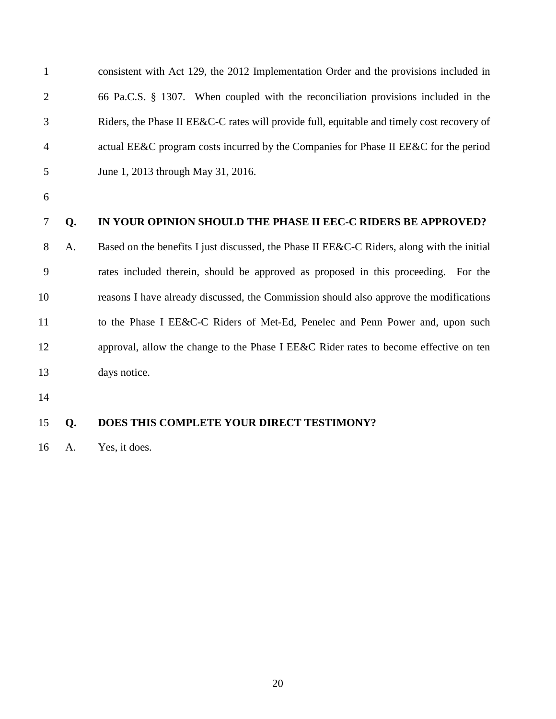| $\mathbf{1}$   |    | consistent with Act 129, the 2012 Implementation Order and the provisions included in      |
|----------------|----|--------------------------------------------------------------------------------------------|
| $\overline{2}$ |    | 66 Pa.C.S. § 1307. When coupled with the reconciliation provisions included in the         |
| 3              |    | Riders, the Phase II EE&C-C rates will provide full, equitable and timely cost recovery of |
| 4              |    | actual EE&C program costs incurred by the Companies for Phase II EE&C for the period       |
| 5              |    | June 1, 2013 through May 31, 2016.                                                         |
| 6              |    |                                                                                            |
| 7              | Q. | IN YOUR OPINION SHOULD THE PHASE II EEC-C RIDERS BE APPROVED?                              |
| 8              | A. | Based on the benefits I just discussed, the Phase II EE&C-C Riders, along with the initial |
| 9              |    | rates included therein, should be approved as proposed in this proceeding.<br>For the      |
| 10             |    | reasons I have already discussed, the Commission should also approve the modifications     |
| 11             |    | to the Phase I EE&C-C Riders of Met-Ed, Penelec and Penn Power and, upon such              |
| 12             |    | approval, allow the change to the Phase I EE&C Rider rates to become effective on ten      |
| 13             |    | days notice.                                                                               |
| 14             |    |                                                                                            |
| 15             | Q. | DOES THIS COMPLETE YOUR DIRECT TESTIMONY?                                                  |
|                |    |                                                                                            |

A. Yes, it does.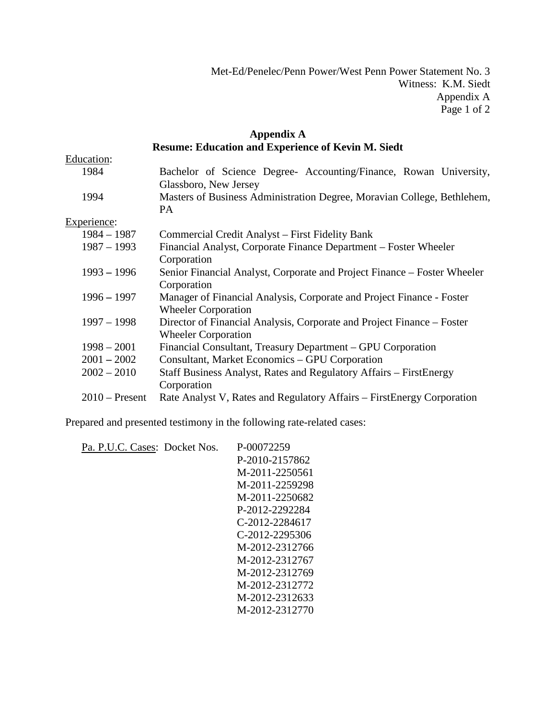Met-Ed/Penelec/Penn Power/West Penn Power Statement No. 3 Witness: K.M. Siedt Appendix A Page 1 of 2

### **Appendix A Resume: Education and Experience of Kevin M. Siedt**

| Education:       |                                                                          |
|------------------|--------------------------------------------------------------------------|
| 1984             | Bachelor of Science Degree- Accounting/Finance, Rowan University,        |
|                  | Glassboro, New Jersey                                                    |
| 1994             | Masters of Business Administration Degree, Moravian College, Bethlehem,  |
|                  | PA.                                                                      |
| Experience:      |                                                                          |
| $1984 - 1987$    | Commercial Credit Analyst – First Fidelity Bank                          |
| $1987 - 1993$    | Financial Analyst, Corporate Finance Department – Foster Wheeler         |
|                  | Corporation                                                              |
| $1993 - 1996$    | Senior Financial Analyst, Corporate and Project Finance – Foster Wheeler |
|                  | Corporation                                                              |
| $1996 - 1997$    | Manager of Financial Analysis, Corporate and Project Finance - Foster    |
|                  | <b>Wheeler Corporation</b>                                               |
| $1997 - 1998$    | Director of Financial Analysis, Corporate and Project Finance – Foster   |
|                  | <b>Wheeler Corporation</b>                                               |
| $1998 - 2001$    | Financial Consultant, Treasury Department – GPU Corporation              |
| $2001 - 2002$    | Consultant, Market Economics – GPU Corporation                           |
| $2002 - 2010$    | Staff Business Analyst, Rates and Regulatory Affairs – FirstEnergy       |
|                  | Corporation                                                              |
| $2010$ – Present | Rate Analyst V, Rates and Regulatory Affairs – FirstEnergy Corporation   |

Prepared and presented testimony in the following rate-related cases:

| Pa. P.U.C. Cases: Docket Nos. | P-00072259     |
|-------------------------------|----------------|
|                               | P-2010-2157862 |
|                               | M-2011-2250561 |
|                               | M-2011-2259298 |
|                               | M-2011-2250682 |
|                               | P-2012-2292284 |
|                               | C-2012-2284617 |
|                               | C-2012-2295306 |
|                               | M-2012-2312766 |
|                               | M-2012-2312767 |
|                               | M-2012-2312769 |
|                               | M-2012-2312772 |
|                               | M-2012-2312633 |
|                               | M-2012-2312770 |